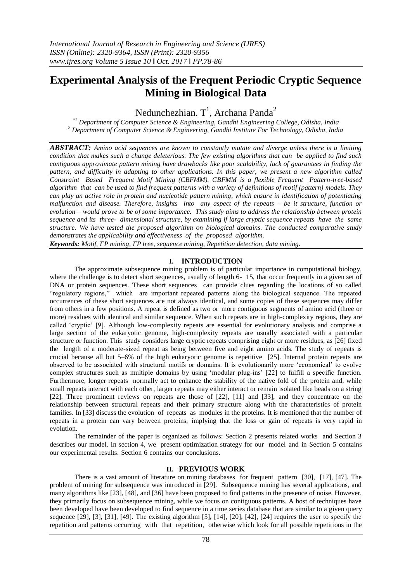# **Experimental Analysis of the Frequent Periodic Cryptic Sequence Mining in Biological Data**

Nedunchezhian.  $T<sup>1</sup>$ , Archana Panda<sup>2</sup>

*\*1 Department of Computer Science & Engineering, Gandhi Engineering College, Odisha, India <sup>2</sup> Department of Computer Science & Engineering, Gandhi Institute For Technology, Odisha, India*

*ABSTRACT: Amino acid sequences are known to constantly mutate and diverge unless there is a limiting condition that makes such a change deleterious. The few existing algorithms that can be applied to find such contiguous approximate pattern mining have drawbacks like poor scalability, lack of guarantees in finding the pattern, and difficulty in adapting to other applications. In this paper, we present a new algorithm called Constraint Based Frequent Motif Mining (CBFMM). CBFMM is a flexible Frequent Pattern-tree-based algorithm that can be used to find frequent patterns with a variety of definitions of motif (pattern) models. They can play an active role in protein and nucleotide pattern mining, which ensure in identification of potentiating malfunction and disease. Therefore, insights into any aspect of the repeats – be it structure, function or evolution – would prove to be of some importance. This study aims to address the relationship between protein sequence and its three- dimensional structure, by examining if large cryptic sequence repeats have the same structure. We have tested the proposed algorithm on biological domains. The conducted comparative study demonstrates the applicability and effectiveness of the proposed algorithm. Keywords: Motif, FP mining, FP tree, sequence mining, Repetition detection, data mining.*

## **I. INTRODUCTION**

The approximate subsequence mining problem is of particular importance in computational biology, where the challenge is to detect short sequences, usually of length 6- 15, that occur frequently in a given set of DNA or protein sequences. These short sequences can provide clues regarding the locations of so called "regulatory regions," which are important repeated patterns along the biological sequence. The repeated occurrences of these short sequences are not always identical, and some copies of these sequences may differ from others in a few positions. A repeat is defined as two or more contiguous segments of amino acid (three or more) residues with identical and similar sequence. When such repeats are in high-complexity regions, they are called "cryptic" [9]. Although low-complexity repeats are essential for evolutionary analysis and comprise a large section of the eukaryotic genome, high-complexity repeats are usually associated with a particular structure or function. This study considers large cryptic repeats comprising eight or more residues, as [26] fixed the length of a moderate-sized repeat as being between five and eight amino acids. The study of repeats is crucial because all but 5–6% of the high eukaryotic genome is repetitive [25]. Internal protein repeats are observed to be associated with structural motifs or domains. It is evolutionarily more "economical" to evolve complex structures such as multiple domains by using "modular plug-ins" [22] to fulfill a specific function. Furthermore, longer repeats normally act to enhance the stability of the native fold of the protein and, while small repeats interact with each other, larger repeats may either interact or remain isolated like beads on a string [22]. Three prominent reviews on repeats are those of [22], [11] and [33], and they concentrate on the relationship between structural repeats and their primary structure along with the characteristics of protein families. In [33] discuss the evolution of repeats as modules in the proteins. It is mentioned that the number of repeats in a protein can vary between proteins, implying that the loss or gain of repeats is very rapid in evolution.

The remainder of the paper is organized as follows: Section 2 presents related works and Section 3 describes our model. In section 4, we present optimization strategy for our model and in Section 5 contains our experimental results. Section 6 contains our conclusions.

#### **II. PREVIOUS WORK**

There is a vast amount of literature on mining databases for frequent pattern [30], [17], [47]. The problem of mining for subsequence was introduced in [29]. Subsequence mining has several applications, and many algorithms like [23], [48], and [36] have been proposed to find patterns in the presence of noise. However, they primarily focus on subsequence mining, while we focus on contiguous patterns. A host of techniques have been developed have been developed to find sequence in a time series database that are similar to a given query sequence  $[29]$ ,  $[3]$ ,  $[31]$ ,  $[49]$ . The existing algorithm  $[5]$ ,  $[14]$ ,  $[20]$ ,  $[42]$ ,  $[24]$  requires the user to specify the repetition and patterns occurring with that repetition, otherwise which look for all possible repetitions in the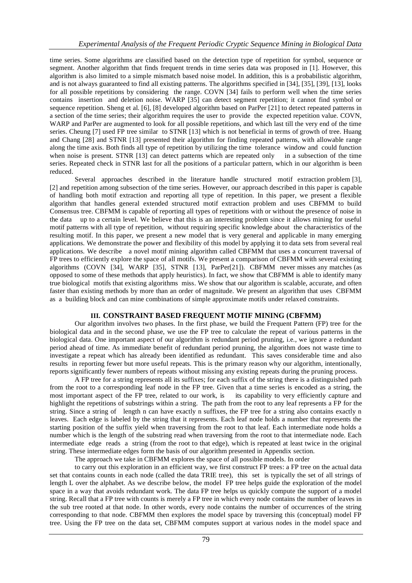time series. Some algorithms are classified based on the detection type of repetition for symbol, sequence or segment. Another algorithm that finds frequent trends in time series data was proposed in [1]. However, this algorithm is also limited to a simple mismatch based noise model. In addition, this is a probabilistic algorithm, and is not always guaranteed to find all existing patterns. The algorithms specified in [34], [35], [39], [13], looks for all possible repetitions by considering the range. COVN [34] fails to perform well when the time series contains insertion and deletion noise. WARP [35] can detect segment repetition; it cannot find symbol or sequence repetition. Sheng et al. [6], [8] developed algorithm based on ParPer [21] to detect repeated patterns in a section of the time series; their algorithm requires the user to provide the expected repetition value. COVN, WARP and ParPer are augmented to look for all possible repetitions, and which last till the very end of the time series. Cheung [7] used FP tree similar to STNR [13] which is not beneficial in terms of growth of tree. Huang and Chang [28] and STNR [13] presented their algorithm for finding repeated patterns, with allowable range along the time axis. Both finds all type of repetition by utilizing the time tolerance window and could function when noise is present. STNR [13] can detect patterns which are repeated only in a subsection of the time series. Repeated check in STNR last for all the positions of a particular pattern, which in our algorithm is been reduced.

Several approaches described in the literature handle structured motif extraction problem [3], [2] and repetition among subsection of the time series. However, our approach described in this paper is capable of handling both motif extraction and reporting all type of repetition. In this paper, we present a flexible algorithm that handles general extended structured motif extraction problem and uses CBFMM to build Consensus tree. CBFMM is capable of reporting all types of repetitions with or without the presence of noise in the data up to a certain level. We believe that this is an interesting problem since it allows mining for useful motif patterns with all type of repetition, without requiring specific knowledge about the characteristics of the resulting motif. In this paper, we present a new model that is very general and applicable in many emerging applications. We demonstrate the power and flexibility of this model by applying it to data sets from several real applications. We describe a novel motif mining algorithm called CBFMM that uses a concurrent traversal of FP trees to efficiently explore the space of all motifs. We present a comparison of CBFMM with several existing algorithms (COVN [34], WARP [35], STNR [13], ParPer[21]). CBFMM never misses any matches (as opposed to some of these methods that apply heuristics). In fact, we show that CBFMM is able to identify many true biological motifs that existing algorithms miss. We show that our algorithm is scalable, accurate, and often faster than existing methods by more than an order of magnitude. We present an algorithm that uses CBFMM as a building block and can mine combinations of simple approximate motifs under relaxed constraints.

## **III. CONSTRAINT BASED FREQUENT MOTIF MINING (CBFMM)**

Our algorithm involves two phases. In the first phase, we build the Frequent Pattern (FP) tree for the biological data and in the second phase, we use the FP tree to calculate the repeat of various patterns in the biological data. One important aspect of our algorithm is redundant period pruning, i.e., we ignore a redundant period ahead of time. As immediate benefit of redundant period pruning, the algorithm does not waste time to investigate a repeat which has already been identified as redundant. This saves considerable time and also results in reporting fewer but more useful repeats. This is the primary reason why our algorithm, intentionally, reports significantly fewer numbers of repeats without missing any existing repeats during the pruning process.

A FP tree for a string represents all its suffixes; for each suffix of the string there is a distinguished path from the root to a corresponding leaf node in the FP tree. Given that a time series is encoded as a string, the most important aspect of the FP tree, related to our work, is its capability to very efficiently capture and highlight the repetitions of substrings within a string. The path from the root to any leaf represents a FP for the string. Since a string of length n can have exactly n suffixes, the FP tree for a string also contains exactly n leaves. Each edge is labeled by the string that it represents. Each leaf node holds a number that represents the starting position of the suffix yield when traversing from the root to that leaf. Each intermediate node holds a number which is the length of the substring read when traversing from the root to that intermediate node. Each intermediate edge reads a string (from the root to that edge), which is repeated at least twice in the original string. These intermediate edges form the basis of our algorithm presented in Appendix section.

The approach we take in CBFMM explores the space of all possible models. In order

to carry out this exploration in an efficient way, we first construct FP trees: a FP tree on the actual data set that contains counts in each node (called the data TRIE tree), this set is typically the set of all strings of length L over the alphabet. As we describe below, the model FP tree helps guide the exploration of the model space in a way that avoids redundant work. The data FP tree helps us quickly compute the support of a model string. Recall that a FP tree with counts is merely a FP tree in which every node contains the number of leaves in the sub tree rooted at that node. In other words, every node contains the number of occurrences of the string corresponding to that node. CBFMM then explores the model space by traversing this (conceptual) model FP tree. Using the FP tree on the data set, CBFMM computes support at various nodes in the model space and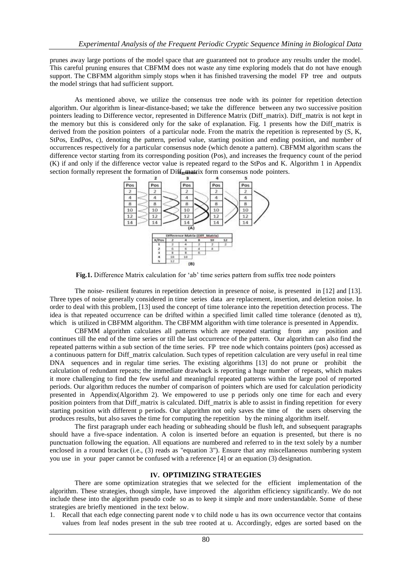prunes away large portions of the model space that are guaranteed not to produce any results under the model. This careful pruning ensures that CBFMM does not waste any time exploring models that do not have enough support. The CBFMM algorithm simply stops when it has finished traversing the model FP tree and outputs the model strings that had sufficient support.

As mentioned above, we utilize the consensus tree node with its pointer for repetition detection algorithm. Our algorithm is linear-distance-based; we take the difference between any two successive position pointers leading to Difference vector, represented in Difference Matrix (Diff\_matrix). Diff\_matrix is not kept in the memory but this is considered only for the sake of explanation. Fig. 1 presents how the Diff\_matrix is derived from the position pointers of a particular node. From the matrix the repetition is represented by  $(S, K, \mathcal{S})$ StPos, EndPos, c), denoting the pattern, period value, starting position and ending position, and number of occurrences respectively for a particular consensus node (which denote a pattern). CBFMM algorithm scans the difference vector starting from its corresponding position (Pos), and increases the frequency count of the period (K) if and only if the difference vector value is repeated regard to the StPos and K. Algorithm 1 in Appendix section formally represent the formation of Diff<sub>e</sub> matrix form consensus node pointers.



**Fig.1.** Difference Matrix calculation for "ab" time series pattern from suffix tree node pointers

The noise- resilient features in repetition detection in presence of noise, is presented in [12] and [13]. Three types of noise generally considered in time series data are replacement, insertion, and deletion noise. In order to deal with this problem, [13] used the concept of time tolerance into the repetition detection process. The idea is that repeated occurrence can be drifted within a specified limit called time tolerance (denoted as tt), which is utilized in CBFMM algorithm. The CBFMM algorithm with time tolerance is presented in Appendix.

CBFMM algorithm calculates all patterns which are repeated starting from any position and continues till the end of the time series or till the last occurrence of the pattern. Our algorithm can also find the repeated patterns within a sub section of the time series. FP tree node which contains pointers (pos) accessed as a continuous pattern for Diff\_matrix calculation. Such types of repetition calculation are very useful in real time DNA sequences and in regular time series. The existing algorithms [13] do not prune or prohibit the calculation of redundant repeats; the immediate drawback is reporting a huge number of repeats, which makes it more challenging to find the few useful and meaningful repeated patterns within the large pool of reported periods. Our algorithm reduces the number of comparison of pointers which are used for calculation periodicity presented in Appendix(Algorithm 2). We empowered to use p periods only one time for each and every position pointers from that Diff\_matrix is calculated. Diff\_matrix is able to assist in finding repetition for every starting position with different p periods. Our algorithm not only saves the time of the users observing the produces results, but also saves the time for computing the repetition by the mining algorithm itself.

The first paragraph under each heading or subheading should be flush left, and subsequent paragraphs should have a five-space indentation. A colon is inserted before an equation is presented, but there is no punctuation following the equation. All equations are numbered and referred to in the text solely by a number enclosed in a round bracket (i.e., (3) reads as "equation 3"). Ensure that any miscellaneous numbering system you use in your paper cannot be confused with a reference [4] or an equation (3) designation.

## **IV. OPTIMIZING STRATEGIES**

There are some optimization strategies that we selected for the efficient implementation of the algorithm. These strategies, though simple, have improved the algorithm efficiency significantly. We do not include these into the algorithm pseudo code so as to keep it simple and more understandable. Some of these strategies are briefly mentioned in the text below.

1. Recall that each edge connecting parent node v to child node u has its own occurrence vector that contains values from leaf nodes present in the sub tree rooted at u. Accordingly, edges are sorted based on the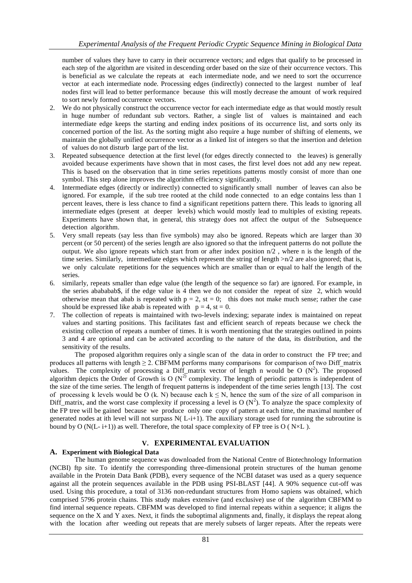number of values they have to carry in their occurrence vectors; and edges that qualify to be processed in each step of the algorithm are visited in descending order based on the size of their occurrence vectors. This is beneficial as we calculate the repeats at each intermediate node, and we need to sort the occurrence vector at each intermediate node. Processing edges (indirectly) connected to the largest number of leaf nodes first will lead to better performance because this will mostly decrease the amount of work required to sort newly formed occurrence vectors.

- 2. We do not physically construct the occurrence vector for each intermediate edge as that would mostly result in huge number of redundant sub vectors. Rather, a single list of values is maintained and each intermediate edge keeps the starting and ending index positions of its occurrence list, and sorts only its concerned portion of the list. As the sorting might also require a huge number of shifting of elements, we maintain the globally unified occurrence vector as a linked list of integers so that the insertion and deletion of values do not disturb large part of the list.
- 3. Repeated subsequence detection at the first level (for edges directly connected to the leaves) is generally avoided because experiments have shown that in most cases, the first level does not add any new repeat. This is based on the observation that in time series repetitions patterns mostly consist of more than one symbol. This step alone improves the algorithm efficiency significantly.
- 4. Intermediate edges (directly or indirectly) connected to significantly small number of leaves can also be ignored. For example, if the sub tree rooted at the child node connected to an edge contains less than 1 percent leaves, there is less chance to find a significant repetitions pattern there. This leads to ignoring all intermediate edges (present at deeper levels) which would mostly lead to multiples of existing repeats. Experiments have shown that, in general, this strategy does not affect the output of the Subsequence detection algorithm.
- 5. Very small repeats (say less than five symbols) may also be ignored. Repeats which are larger than 30 percent (or 50 percent) of the series length are also ignored so that the infrequent patterns do not pollute the output. We also ignore repeats which start from or after index position  $n/2$ , where n is the length of the time series. Similarly, intermediate edges which represent the string of length >n/2 are also ignored; that is, we only calculate repetitions for the sequences which are smaller than or equal to half the length of the series.
- 6. similarly, repeats smaller than edge value (the length of the sequence so far) are ignored. For example, in the series abababab\$, if the edge value is 4 then we do not consider the repeat of size 2, which would otherwise mean that abab is repeated with  $p = 2$ , st = 0; this does not make much sense; rather the case should be expressed like abab is repeated with  $p = 4$ , st = 0.
- 7. The collection of repeats is maintained with two-levels indexing; separate index is maintained on repeat values and starting positions. This facilitates fast and efficient search of repeats because we check the existing collection of repeats a number of times. It is worth mentioning that the strategies outlined in points 3 and 4 are optional and can be activated according to the nature of the data, its distribution, and the sensitivity of the results.

The proposed algorithm requires only a single scan of the data in order to construct the FP tree; and produces all patterns with length  $\geq$  2. CBFMM performs many comparisons for comparison of two Diff\_matrix values. The complexity of processing a Diff\_matrix vector of length n would be O  $(N^2)$ . The proposed algorithm depicts the Order of Growth is O  $(N^2)$  complexity. The length of periodic patterns is independent of the size of the time series. The length of frequent patterns is independent of the time series length [13]. The cost of processing k levels would be O (k. N) because each  $k \le N$ , hence the sum of the size of all comparison in Diff\_matrix, and the worst case complexity if processing a level is O  $(N^2)$ . To analyze the space complexity of the FP tree will be gained because we produce only one copy of pattern at each time, the maximal number of generated nodes at ith level will not surpass  $N(L-i+1)$ . The auxiliary storage used for running the subroutine is bound by O ( $N(L-i+1)$ ) as well. Therefore, the total space complexity of FP tree is O ( $N \times L$ ).

# **V. EXPERIMENTAL EVALUATION**

#### **A. Experiment with Biological Data**

The human genome sequence was downloaded from the National Centre of Biotechnology Information (NCBI) ftp site. To identify the corresponding three-dimensional protein structures of the human genome available in the Protein Data Bank (PDB), every sequence of the NCBI dataset was used as a query sequence against all the protein sequences available in the PDB using PSI-BLAST [44]. A 90% sequence cut-off was used. Using this procedure, a total of 3136 non-redundant structures from Homo sapiens was obtained, which comprised 5796 protein chains. This study makes extensive (and exclusive) use of the algorithm CBFMM to find internal sequence repeats. CBFMM was developed to find internal repeats within a sequence; it aligns the sequence on the X and Y axes. Next, it finds the suboptimal alignments and, finally, it displays the repeat along with the location after weeding out repeats that are merely subsets of larger repeats. After the repeats were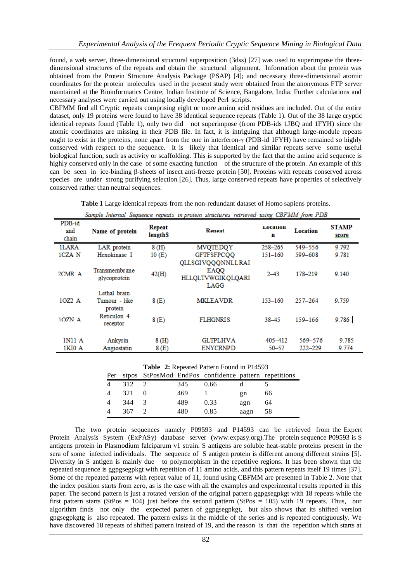found, a web server, three-dimensional structural superposition (3dss) [27] was used to superimpose the threedimensional structures of the repeats and obtain the structural alignment. Information about the protein was obtained from the Protein Structure Analysis Package (PSAP) [4]; and necessary three-dimensional atomic coordinates for the protein molecules used in the present study were obtained from the anonymous FTP server maintained at the Bioinformatics Centre, Indian Institute of Science, Bangalore, India. Further calculations and necessary analyses were carried out using locally developed Perl scripts.

CBFMM find all Cryptic repeats comprising eight or more amino acid residues are included. Out of the entire dataset, only 19 proteins were found to have 38 identical sequence repeats (Table 1). Out of the 38 large cryptic identical repeats found (Table 1), only two did not superimpose (from PDB-ids 1JBQ and 1FYH) since the atomic coordinates are missing in their PDB file. In fact, it is intriguing that although large-module repeats ought to exist in the proteins, none apart from the one in interferon-γ (PDB-id 1FYH) have remained so highly conserved with respect to the sequence. It is likely that identical and similar repeats serve some useful biological function, such as activity or scaffolding. This is supported by the fact that the amino acid sequence is highly conserved only in the case of some exacting function of the structure of the protein. An example of this can be seen in ice-binding β-sheets of insect anti-freeze protein [50]. Proteins with repeats conserved across species are under strong purifying selection [26]. Thus, large conserved repeats have properties of selectively conserved rather than neutral sequences.

**Table 1** Large identical repeats from the non-redundant dataset of Homo sapiens proteins.

| sample internat sequence repeats in protein structures retrieved using CDFMM from PDD |                                          |                                             |                                                               |                  |                        |                       |  |  |  |  |  |
|---------------------------------------------------------------------------------------|------------------------------------------|---------------------------------------------|---------------------------------------------------------------|------------------|------------------------|-----------------------|--|--|--|--|--|
| PDB-id<br>and<br>chain                                                                | Name of protein                          | <b>Repeat</b><br><b>length</b> <sup>S</sup> | Reneat                                                        | глосаноп<br>n    | Location               | <b>STAMP</b><br>score |  |  |  |  |  |
| 1LARA                                                                                 | LAR protein                              | 8(H)                                        | <b>MVQTEDQY</b>                                               | 258-265          | 549-556                | 9.792                 |  |  |  |  |  |
| 1CZA N                                                                                | Hexokinase I                             | 10(E)                                       | <b>GFTFSFPCQQ</b>                                             | 151-160          | 599-608                | 9.781                 |  |  |  |  |  |
| $2CMR$ A                                                                              | Transmembrane<br>glycoprotein            | 42(H)                                       | QLLSGIVQQQNNLLRAI<br><b>EAQO</b><br>HLLQLTVWGIKQLQARI<br>LAGG | $2 - 43$         | 178-219                | 9.140                 |  |  |  |  |  |
| 10Z2 A                                                                                | Lethal brain<br>Tumour - like<br>protein | 8(E)                                        | <b>MKLEAVDR</b>                                               | 153-160          | $257 - 264$            | 9.759                 |  |  |  |  |  |
| 10ZN A                                                                                | Reticulon 4<br>receptor                  | 8(E)                                        | <b>FLHGNRIS</b>                                               | $38 - 45$        | 159-166                | 9.786                 |  |  |  |  |  |
| 1N11 A<br>1KI0 A                                                                      | Ankyrin<br>Angiostatin                   | 8(H)<br>8(E)                                | <b>GLTPLHVA</b><br><b>ENYCRNPD</b>                            | 405-412<br>50-57 | 569-576<br>$222 - 229$ | 9.785<br>9.774        |  |  |  |  |  |

Sample Internal Sequence repeats in protein structures retrigued using CREMM from DDR

|         |          | Per stpos StPosMod EndPos confidence pattern repetitions |                |     |
|---------|----------|----------------------------------------------------------|----------------|-----|
| 4 312 2 | 345 0.66 |                                                          |                |     |
| 4 321 0 | 469      |                                                          | $\mathbf{g}$ n | -66 |
| 4 344 3 | 489      | 0.33                                                     | agn            | -64 |
| 4 367 2 | 480      | 0.85                                                     | aagn 58        |     |

The two protein sequences namely P09593 and P14593 can be retrieved from the Expert Protein Analysis System (ExPASy) database server (www.expasy.org).The protein sequence P09593 is S antigens protein in Plasmodium falciparum v1 strain. S antigens are soluble heat-stable proteins present in the sera of some infected individuals. The sequence of S antigen protein is different among different strains [5]. Diversity in S antigen is mainly due to polymorphism in the repetitive regions. It has been shown that the repeated sequence is ggpgsegpkgt with repetition of 11 amino acids, and this pattern repeats itself 19 times [37]. Some of the repeated patterns with repeat value of 11, found using CBFMM are presented in Table 2. Note that the index position starts from zero, as is the case with all the examples and experimental results reported in this paper. The second pattern is just a rotated version of the original pattern ggpgsegpkgt with 18 repeats while the first pattern starts (StPos = 104) just before the second pattern (StPos = 105) with 19 repeats. Thus, our algorithm finds not only the expected pattern of ggpgsegpkgt, but also shows that its shifted version gpgsegpkgtg is also repeated. The pattern exists in the middle of the series and is repeated contiguously. We have discovered 18 repeats of shifted pattern instead of 19, and the reason is that the repetition which starts at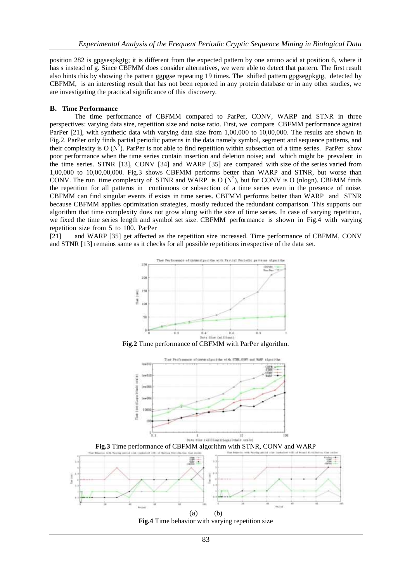position 282 is gpgsespkgtg; it is different from the expected pattern by one amino acid at position 6, where it has s instead of g. Since CBFMM does consider alternatives, we were able to detect that pattern. The first result also hints this by showing the pattern ggpgse repeating 19 times. The shifted pattern gpgsegpkgtg, detected by CBFMM, is an interesting result that has not been reported in any protein database or in any other studies, we are investigating the practical significance of this discovery.

#### **B. Time Performance**

The time performance of CBFMM compared to ParPer, CONV, WARP and STNR in three perspectives: varying data size, repetition size and noise ratio. First, we compare CBFMM performance against ParPer [21], with synthetic data with varying data size from 1,00,000 to 10,00,000. The results are shown in Fig.2. ParPer only finds partial periodic patterns in the data namely symbol, segment and sequence patterns, and their complexity is O  $(N^2)$ . ParPer is not able to find repetition within subsection of a time series. ParPer show poor performance when the time series contain insertion and deletion noise; and which might be prevalent in the time series. STNR [13], CONV [34] and WARP [35] are compared with size of the series varied from 1,00,000 to 10,00,00,000. Fig.3 shows CBFMM performs better than WARP and STNR, but worse than CONV. The run time complexity of STNR and WARP is O  $(N^2)$ , but for CONV is O (nlogn). CBFMM finds the repetition for all patterns in continuous or subsection of a time series even in the presence of noise. CBFMM can find singular events if exists in time series. CBFMM performs better than WARP and STNR because CBFMM applies optimization strategies, mostly reduced the redundant comparison. This supports our algorithm that time complexity does not grow along with the size of time series. In case of varying repetition, we fixed the time series length and symbol set size. CBFMM performance is shown in Fig.4 with varying repetition size from 5 to 100. ParPer

[21] and WARP [35] get affected as the repetition size increased. Time performance of CBFMM, CONV and STNR [13] remains same as it checks for all possible repetitions irrespective of the data set.



**Fig.2** Time performance of CBFMM with ParPer algorithm.



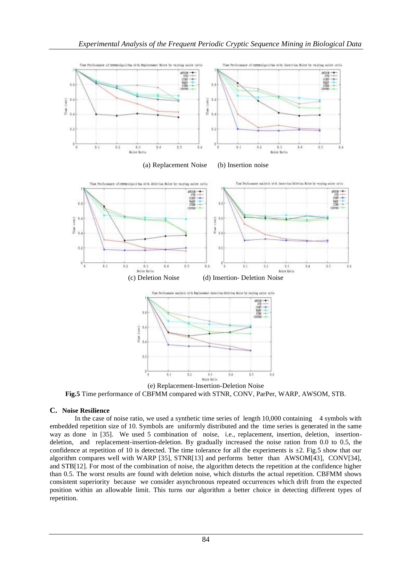

**Fig.5** Time performance of CBFMM compared with STNR, CONV, ParPer, WARP, AWSOM, STB.

# **C. Noise Resilience**

In the case of noise ratio, we used a synthetic time series of length 10,000 containing 4 symbols with embedded repetition size of 10. Symbols are uniformly distributed and the time series is generated in the same way as done in [35]. We used 5 combination of noise, i.e., replacement, insertion, deletion, insertiondeletion, and replacement-insertion-deletion. By gradually increased the noise ration from 0.0 to 0.5, the confidence at repetition of 10 is detected. The time tolerance for all the experiments is  $\pm 2$ . Fig.5 show that our algorithm compares well with WARP [35], STNR[13] and performs better than AWSOM[43], CONV[34], and STB[12]. For most of the combination of noise, the algorithm detects the repetition at the confidence higher than 0.5. The worst results are found with deletion noise, which disturbs the actual repetition. CBFMM shows consistent superiority because we consider asynchronous repeated occurrences which drift from the expected position within an allowable limit. This turns our algorithm a better choice in detecting different types of repetition.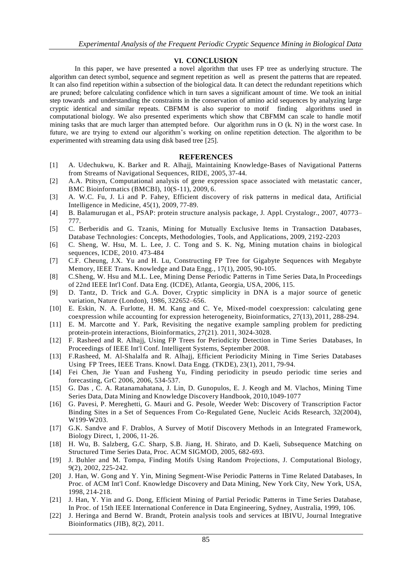# **VI. CONCLUSION**

In this paper, we have presented a novel algorithm that uses FP tree as underlying structure. The algorithm can detect symbol, sequence and segment repetition as well as present the patterns that are repeated. It can also find repetition within a subsection of the biological data. It can detect the redundant repetitions which are pruned; before calculating confidence which in turn saves a significant amount of time. We took an initial step towards and understanding the constraints in the conservation of amino acid sequences by analyzing large cryptic identical and similar repeats. CBFMM is also superior to motif finding algorithms used in computational biology. We also presented experiments which show that CBFMM can scale to handle motif mining tasks that are much larger than attempted before. Our algorithm runs in O (k. N) in the worst case. In future, we are trying to extend our algorithm"s working on online repetition detection. The algorithm to be experimented with streaming data using disk based tree [25].

#### **REFERENCES**

- [1] A. Udechukwu, K. Barker and R. Alhajj, Maintaining Knowledge-Bases of Navigational Patterns from Streams of Navigational Sequences, RIDE, 2005, 37-44.
- [2] A.A. Ptitsyn, Computational analysis of gene expression space associated with metastatic cancer, BMC Bioinformatics (BMCBI), 10(S-11), 2009, 6.
- [3] A. W.C. Fu, J. Li and P. Fahey, Efficient discovery of risk patterns in medical data, Artificial Intelligence in Medicine, 45(1), 2009, 77-89.
- [4] B. Balamurugan et al., PSAP: protein structure analysis package, J. Appl. Crystalogr., 2007, 40773– 777.
- [5] C. Berberidis and G. Tzanis, Mining for Mutually Exclusive Items in Transaction Databases, Database Technologies: Concepts, Methodologies, Tools, and Applications, 2009, 2192-2203
- [6] C. Sheng, W. Hsu, M. L. Lee, J. C. Tong and S. K. Ng, Mining mutation chains in biological sequences, ICDE, 2010. 473-484
- [7] C.F. Cheung, J.X. Yu and H. Lu, Constructing FP Tree for Gigabyte Sequences with Megabyte Memory, IEEE Trans. Knowledge and Data Engg., 17(1), 2005, 90-105.
- [8] C.Sheng, W. Hsu and M.L. Lee, Mining Dense Periodic Patterns in Time Series Data, In Proceedings of 22nd IEEE Int'l Conf. Data Eng. (ICDE), Atlanta, Georgia, USA, 2006, 115.
- [9] D. Tantz, D. Trick and G.A. Dover, Cryptic simplicity in DNA is a major source of genetic variation, Nature (London), 1986, 322652–656.
- [10] E. Eskin, N. A. Furlotte, H. M. Kang and C. Ye, Mixed-model coexpression: calculating gene coexpression while accounting for expression heterogeneity, Bioinformatics, 27(13), 2011, 288-294.
- [11] E. M. Marcotte and Y. Park, Revisiting the negative example sampling problem for predicting protein-protein interactions, Bioinformatics, 27(21). 2011, 3024-3028.
- [12] F. Rasheed and R. Alhajj, Using FP Trees for Periodicity Detection in Time Series Databases, In Proceedings of IEEE Int'l Conf. Intelligent Systems, September 2008.
- [13] F.Rasheed, M. Al-Shalalfa and R. Alhajj, Efficient Periodicity Mining in Time Series Databases Using FP Trees, IEEE Trans. Knowl. Data Engg. (TKDE), 23(1), 2011, 79-94.
- [14] Fei Chen, Jie Yuan and Fusheng Yu, Finding periodicity in pseudo periodic time series and forecasting, GrC 2006, 2006, 534-537.
- [15] G. Das , C. A. Ratanamahatana, J. Lin, D. Gunopulos, E. J. Keogh and M. Vlachos, Mining Time Series Data, Data Mining and Knowledge Discovery Handbook, 2010,1049-1077
- [16] G. Pavesi, P. Mereghetti, G. Mauri and G. Pesole, Weeder Web: Discovery of Transcription Factor Binding Sites in a Set of Sequences From Co-Regulated Gene, Nucleic Acids Research, 32(2004), W199-W203.
- [17] G.K. Sandve and F. Drablos, A Survey of Motif Discovery Methods in an Integrated Framework, Biology Direct, 1, 2006, 11-26.
- [18] H. Wu, B. Salzberg, G.C. Sharp, S.B. Jiang, H. Shirato, and D. Kaeli, Subsequence Matching on Structured Time Series Data, Proc. ACM SIGMOD, 2005, 682-693.
- [19] J. Buhler and M. Tompa, Finding Motifs Using Random Projections, J. Computational Biology, 9(2), 2002, 225-242.
- [20] J. Han, W. Gong and Y. Yin, Mining Segment-Wise Periodic Patterns in Time Related Databases, In Proc. of ACM Int'l Conf. Knowledge Discovery and Data Mining, New York City, New York, USA, 1998, 214-218.
- [21] J. Han, Y. Yin and G. Dong, Efficient Mining of Partial Periodic Patterns in Time Series Database, In Proc. of 15th IEEE International Conference in Data Engineering, Sydney, Australia, 1999, 106.
- [22] J. Heringa and Bernd W. Brandt, Protein analysis tools and services at IBIVU, Journal Integrative Bioinformatics (JIB), 8(2), 2011.